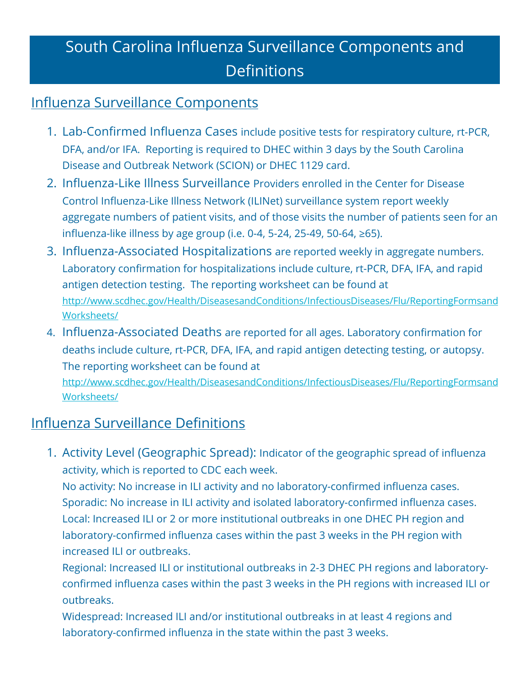## South Carolina Influenza Surveillance Components and **Definitions**

## Influenza Surveillance Components

- 1. Lab-Confirmed Influenza Cases include positive tests for respiratory culture, rt-PCR, DFA, and/or IFA. Reporting is required to DHEC within 3 days by the South Carolina Disease and Outbreak Network (SCION) or DHEC 1129 card.
- 2. Influenza-Like Illness Surveillance Providers enrolled in the Center for Disease Control Influenza-Like Illness Network (ILINet) surveillance system report weekly aggregate numbers of patient visits, and of those visits the number of patients seen for an influenza-like illness by age group (i.e. 0-4, 5-24, 25-49, 50-64, ≥65).
- 3. Influenza-Associated Hospitalizations are reported weekly in aggregate numbers. Laboratory confirmation for hospitalizations include culture, rt-PCR, DFA, IFA, and rapid antigen detection testing. The reporting worksheet can be found at http://www.scdhec.gov/Health/DiseasesandConditions/InfectiousDiseases/Flu/ReportingFormsand Worksheets/
- 4. Influenza-Associated Deaths are reported for all ages. Laboratory confirmation for deaths include culture, rt-PCR, DFA, IFA, and rapid antigen detecting testing, or autopsy. The reporting worksheet can be found at

http://www.scdhec.gov/Health/DiseasesandConditions/InfectiousDiseases/Flu/ReportingFormsand Worksheets/

## Influenza Surveillance Definitions

1. Activity Level (Geographic Spread): Indicator of the geographic spread of influenza activity, which is reported to CDC each week.

No activity: No increase in ILI activity and no laboratory-confirmed influenza cases. Sporadic: No increase in ILI activity and isolated laboratory-confirmed influenza cases. Local: Increased ILI or 2 or more institutional outbreaks in one DHEC PH region and laboratory-confirmed influenza cases within the past 3 weeks in the PH region with increased ILI or outbreaks.

Regional: Increased ILI or institutional outbreaks in 2-3 DHEC PH regions and laboratoryconfirmed influenza cases within the past 3 weeks in the PH regions with increased ILI or outbreaks.

Widespread: Increased ILI and/or institutional outbreaks in at least 4 regions and laboratory-confirmed influenza in the state within the past 3 weeks.